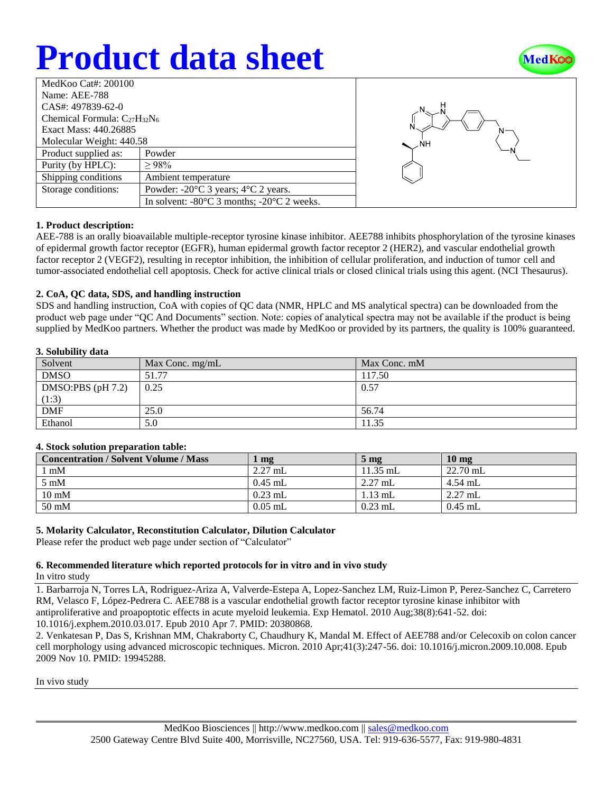# **Product data sheet**



| MedKoo Cat#: $200100$               |                                                                |  |  |  |
|-------------------------------------|----------------------------------------------------------------|--|--|--|
| Name: AEE-788                       |                                                                |  |  |  |
| CAS#: 497839-62-0                   |                                                                |  |  |  |
| Chemical Formula: $C_{27}H_{32}N_6$ |                                                                |  |  |  |
| Exact Mass: 440.26885               |                                                                |  |  |  |
| Molecular Weight: 440.58            |                                                                |  |  |  |
| Product supplied as:                | Powder                                                         |  |  |  |
| Purity (by HPLC):                   | >98%                                                           |  |  |  |
| Shipping conditions                 | Ambient temperature                                            |  |  |  |
| Storage conditions:                 | Powder: $-20^{\circ}$ C 3 years; $4^{\circ}$ C 2 years.        |  |  |  |
|                                     | In solvent: $-80^{\circ}$ C 3 months; $-20^{\circ}$ C 2 weeks. |  |  |  |



### **1. Product description:**

AEE-788 is an orally bioavailable multiple-receptor tyrosine kinase inhibitor. AEE788 inhibits phosphorylation of the tyrosine kinases of epidermal growth factor receptor (EGFR), human epidermal growth factor receptor 2 (HER2), and vascular endothelial growth factor receptor 2 (VEGF2), resulting in receptor inhibition, the inhibition of cellular proliferation, and induction of tumor cell and tumor-associated endothelial cell apoptosis. Check for active clinical trials or closed clinical trials using this agent. (NCI Thesaurus).

### **2. CoA, QC data, SDS, and handling instruction**

SDS and handling instruction, CoA with copies of QC data (NMR, HPLC and MS analytical spectra) can be downloaded from the product web page under "QC And Documents" section. Note: copies of analytical spectra may not be available if the product is being supplied by MedKoo partners. Whether the product was made by MedKoo or provided by its partners, the quality is 100% guaranteed.

#### **3. Solubility data**

| Solvent             | Max Conc. mg/mL | Max Conc. mM |
|---------------------|-----------------|--------------|
| <b>DMSO</b>         | 51.77           | 117.50       |
| DMSO:PBS $(pH 7.2)$ | 0.25            | 0.57         |
| (1:3)               |                 |              |
| <b>DMF</b>          | 25.0            | 56.74        |
| Ethanol             | 5.0             | 11.35        |

### **4. Stock solution preparation table:**

| <b>Concentration / Solvent Volume / Mass</b> | mg        | $5 \text{ mg}$ | $10 \text{ mg}$ |
|----------------------------------------------|-----------|----------------|-----------------|
| l mM                                         | $2.27$ mL | $11.35$ mL     | $22.70$ mL      |
| $5 \text{ mM}$                               | $0.45$ mL | $2.27$ mL      | $4.54$ mL       |
| $10 \text{ mM}$                              | $0.23$ mL | $1.13$ mL      | $2.27$ mL       |
| $50 \text{ mM}$                              | $0.05$ mL | $0.23$ mL      | $0.45$ mL       |

### **5. Molarity Calculator, Reconstitution Calculator, Dilution Calculator**

Please refer the product web page under section of "Calculator"

### **6. Recommended literature which reported protocols for in vitro and in vivo study**

In vitro study

1. Barbarroja N, Torres LA, Rodriguez-Ariza A, Valverde-Estepa A, Lopez-Sanchez LM, Ruiz-Limon P, Perez-Sanchez C, Carretero RM, Velasco F, López-Pedrera C. AEE788 is a vascular endothelial growth factor receptor tyrosine kinase inhibitor with antiproliferative and proapoptotic effects in acute myeloid leukemia. Exp Hematol. 2010 Aug;38(8):641-52. doi: 10.1016/j.exphem.2010.03.017. Epub 2010 Apr 7. PMID: 20380868.

2. Venkatesan P, Das S, Krishnan MM, Chakraborty C, Chaudhury K, Mandal M. Effect of AEE788 and/or Celecoxib on colon cancer cell morphology using advanced microscopic techniques. Micron. 2010 Apr;41(3):247-56. doi: 10.1016/j.micron.2009.10.008. Epub 2009 Nov 10. PMID: 19945288.

In vivo study